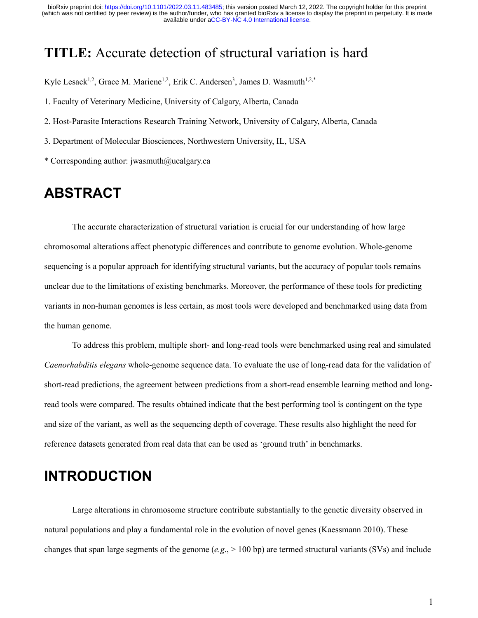## **TITLE:** Accurate detection of structural variation is hard

Kyle Lesack<sup>1,2</sup>, Grace M. Mariene<sup>1,2</sup>, Erik C. Andersen<sup>3</sup>, James D. Wasmuth<sup>1,2,\*</sup>

1. Faculty of Veterinary Medicine, University of Calgary, Alberta, Canada

2. Host-Parasite Interactions Research Training Network, University of Calgary, Alberta, Canada

3. Department of Molecular Biosciences, Northwestern University, IL, USA

\* Corresponding author: jwasmuth@ucalgary.ca

### **ABSTRACT**

The accurate characterization of structural variation is crucial for our understanding of how large chromosomal alterations affect phenotypic differences and contribute to genome evolution. Whole-genome sequencing is a popular approach for identifying structural variants, but the accuracy of popular tools remains unclear due to the limitations of existing benchmarks. Moreover, the performance of these tools for predicting variants in non-human genomes is less certain, as most tools were developed and benchmarked using data from the human genome.

To address this problem, multiple short- and long-read tools were benchmarked using real and simulated *Caenorhabditis elegans* whole-genome sequence data. To evaluate the use of long-read data for the validation of short-read predictions, the agreement between predictions from a short-read ensemble learning method and longread tools were compared. The results obtained indicate that the best performing tool is contingent on the type and size of the variant, as well as the sequencing depth of coverage. These results also highlight the need for reference datasets generated from real data that can be used as 'ground truth' in benchmarks.

# **INTRODUCTION**

Large alterations in chromosome structure contribute substantially to the genetic diversity observed in natural populations and play a fundamental role in the evolution of novel genes (Kaessmann 2010). These changes that span large segments of the genome (*e.g*., > 100 bp) are termed structural variants (SVs) and include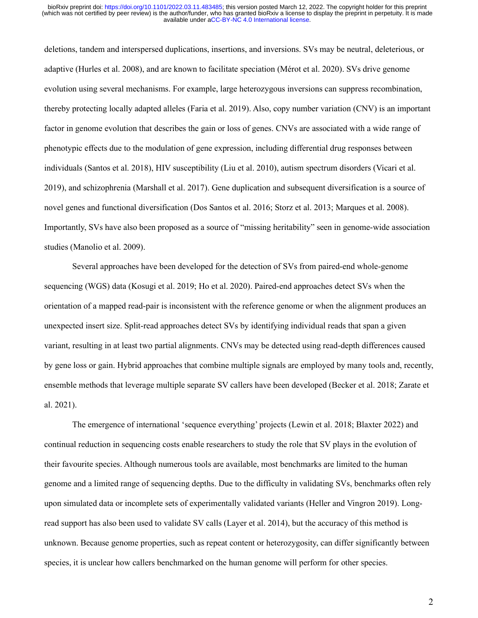deletions, tandem and interspersed duplications, insertions, and inversions. SVs may be neutral, deleterious, or adaptive (Hurles et al. 2008), and are known to facilitate speciation (Mérot et al. 2020). SVs drive genome evolution using several mechanisms. For example, large heterozygous inversions can suppress recombination, thereby protecting locally adapted alleles (Faria et al. 2019). Also, copy number variation (CNV) is an important factor in genome evolution that describes the gain or loss of genes. CNVs are associated with a wide range of phenotypic effects due to the modulation of gene expression, including differential drug responses between individuals (Santos et al. 2018), HIV susceptibility (Liu et al. 2010), autism spectrum disorders (Vicari et al. 2019), and schizophrenia (Marshall et al. 2017). Gene duplication and subsequent diversification is a source of novel genes and functional diversification (Dos Santos et al. 2016; Storz et al. 2013; Marques et al. 2008). Importantly, SVs have also been proposed as a source of "missing heritability" seen in genome-wide association studies (Manolio et al. 2009).

Several approaches have been developed for the detection of SVs from paired-end whole-genome sequencing (WGS) data (Kosugi et al. 2019; Ho et al. 2020). Paired-end approaches detect SVs when the orientation of a mapped read-pair is inconsistent with the reference genome or when the alignment produces an unexpected insert size. Split-read approaches detect SVs by identifying individual reads that span a given variant, resulting in at least two partial alignments. CNVs may be detected using read-depth differences caused by gene loss or gain. Hybrid approaches that combine multiple signals are employed by many tools and, recently, ensemble methods that leverage multiple separate SV callers have been developed (Becker et al. 2018; Zarate et al. 2021).

The emergence of international 'sequence everything' projects (Lewin et al. 2018; Blaxter 2022) and continual reduction in sequencing costs enable researchers to study the role that SV plays in the evolution of their favourite species. Although numerous tools are available, most benchmarks are limited to the human genome and a limited range of sequencing depths. Due to the difficulty in validating SVs, benchmarks often rely upon simulated data or incomplete sets of experimentally validated variants (Heller and Vingron 2019). Longread support has also been used to validate SV calls (Layer et al. 2014), but the accuracy of this method is unknown. Because genome properties, such as repeat content or heterozygosity, can differ significantly between species, it is unclear how callers benchmarked on the human genome will perform for other species.

2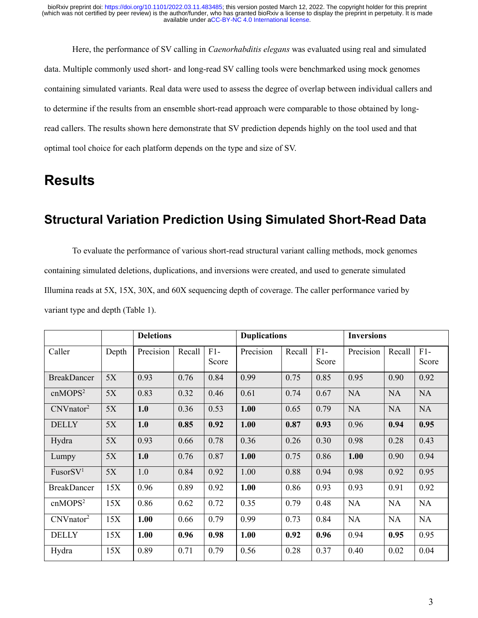Here, the performance of SV calling in *Caenorhabditis elegans* was evaluated using real and simulated data. Multiple commonly used short- and long-read SV calling tools were benchmarked using mock genomes containing simulated variants. Real data were used to assess the degree of overlap between individual callers and to determine if the results from an ensemble short-read approach were comparable to those obtained by longread callers. The results shown here demonstrate that SV prediction depends highly on the tool used and that optimal tool choice for each platform depends on the type and size of SV.

# **Results**

### **Structural Variation Prediction Using Simulated Short-Read Data**

To evaluate the performance of various short-read structural variant calling methods, mock genomes containing simulated deletions, duplications, and inversions were created, and used to generate simulated Illumina reads at 5X, 15X, 30X, and 60X sequencing depth of coverage. The caller performance varied by variant type and depth (Table 1).

|                       |       | <b>Deletions</b> |        |                | <b>Duplications</b> |        |                | <b>Inversions</b> |           |                |
|-----------------------|-------|------------------|--------|----------------|---------------------|--------|----------------|-------------------|-----------|----------------|
| Caller                | Depth | Precision        | Recall | $F1-$<br>Score | Precision           | Recall | $F1-$<br>Score | Precision         | Recall    | $F1-$<br>Score |
| <b>BreakDancer</b>    | 5X    | 0.93             | 0.76   | 0.84           | 0.99                | 0.75   | 0.85           | 0.95              | 0.90      | 0.92           |
| cnMOPS <sup>2</sup>   | 5X    | 0.83             | 0.32   | 0.46           | 0.61                | 0.74   | 0.67           | <b>NA</b>         | <b>NA</b> | <b>NA</b>      |
| CNVnator <sup>2</sup> | 5X    | 1.0              | 0.36   | 0.53           | 1.00                | 0.65   | 0.79           | <b>NA</b>         | <b>NA</b> | <b>NA</b>      |
| <b>DELLY</b>          | 5X    | 1.0              | 0.85   | 0.92           | 1.00                | 0.87   | 0.93           | 0.96              | 0.94      | 0.95           |
| Hydra                 | 5X    | 0.93             | 0.66   | 0.78           | 0.36                | 0.26   | 0.30           | 0.98              | 0.28      | 0.43           |
| Lumpy                 | 5X    | 1.0              | 0.76   | 0.87           | 1.00                | 0.75   | 0.86           | 1.00              | 0.90      | 0.94           |
| FusorSV <sup>1</sup>  | 5X    | 1.0              | 0.84   | 0.92           | 1.00                | 0.88   | 0.94           | 0.98              | 0.92      | 0.95           |
| <b>BreakDancer</b>    | 15X   | 0.96             | 0.89   | 0.92           | 1.00                | 0.86   | 0.93           | 0.93              | 0.91      | 0.92           |
| cnMOPS <sup>2</sup>   | 15X   | 0.86             | 0.62   | 0.72           | 0.35                | 0.79   | 0.48           | NA                | NA        | NA             |
| CNVnator <sup>2</sup> | 15X   | 1.00             | 0.66   | 0.79           | 0.99                | 0.73   | 0.84           | NA                | <b>NA</b> | NA             |
| <b>DELLY</b>          | 15X   | 1.00             | 0.96   | 0.98           | 1.00                | 0.92   | 0.96           | 0.94              | 0.95      | 0.95           |
| Hydra                 | 15X   | 0.89             | 0.71   | 0.79           | 0.56                | 0.28   | 0.37           | 0.40              | 0.02      | 0.04           |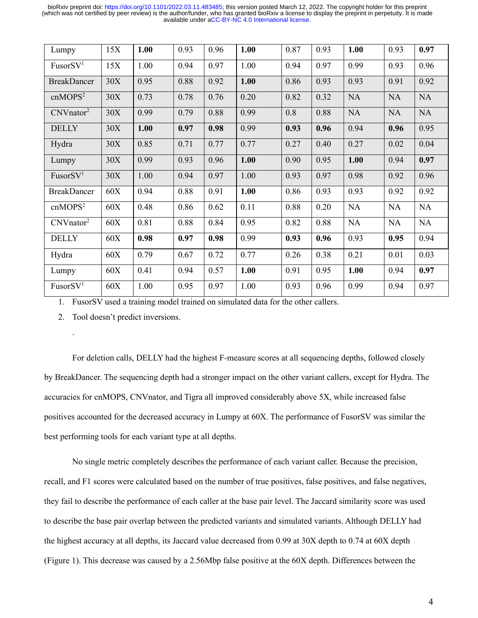| Lumpy                 | 15X | 1.00 | 0.93 | 0.96 | 1.00 | 0.87 | 0.93 | 1.00      | 0.93      | 0.97      |
|-----------------------|-----|------|------|------|------|------|------|-----------|-----------|-----------|
| FusorSV <sup>1</sup>  | 15X | 1.00 | 0.94 | 0.97 | 1.00 | 0.94 | 0.97 | 0.99      | 0.93      | 0.96      |
| <b>BreakDancer</b>    | 30X | 0.95 | 0.88 | 0.92 | 1.00 | 0.86 | 0.93 | 0.93      | 0.91      | 0.92      |
| cnMOPS <sup>2</sup>   | 30X | 0.73 | 0.78 | 0.76 | 0.20 | 0.82 | 0.32 | <b>NA</b> | <b>NA</b> | <b>NA</b> |
| CNVnator <sup>2</sup> | 30X | 0.99 | 0.79 | 0.88 | 0.99 | 0.8  | 0.88 | <b>NA</b> | <b>NA</b> | <b>NA</b> |
| <b>DELLY</b>          | 30X | 1.00 | 0.97 | 0.98 | 0.99 | 0.93 | 0.96 | 0.94      | 0.96      | 0.95      |
| Hydra                 | 30X | 0.85 | 0.71 | 0.77 | 0.77 | 0.27 | 0.40 | 0.27      | 0.02      | 0.04      |
| Lumpy                 | 30X | 0.99 | 0.93 | 0.96 | 1.00 | 0.90 | 0.95 | 1.00      | 0.94      | 0.97      |
| FusorSV <sup>1</sup>  | 30X | 1.00 | 0.94 | 0.97 | 1.00 | 0.93 | 0.97 | 0.98      | 0.92      | 0.96      |
| <b>BreakDancer</b>    | 60X | 0.94 | 0.88 | 0.91 | 1.00 | 0.86 | 0.93 | 0.93      | 0.92      | 0.92      |
| cnMOPS <sup>2</sup>   | 60X | 0.48 | 0.86 | 0.62 | 0.11 | 0.88 | 0.20 | <b>NA</b> | <b>NA</b> | <b>NA</b> |
| CNVnator <sup>2</sup> | 60X | 0.81 | 0.88 | 0.84 | 0.95 | 0.82 | 0.88 | NA        | NA        | NA        |
| <b>DELLY</b>          | 60X | 0.98 | 0.97 | 0.98 | 0.99 | 0.93 | 0.96 | 0.93      | 0.95      | 0.94      |
| Hydra                 | 60X | 0.79 | 0.67 | 0.72 | 0.77 | 0.26 | 0.38 | 0.21      | 0.01      | 0.03      |
| Lumpy                 | 60X | 0.41 | 0.94 | 0.57 | 1.00 | 0.91 | 0.95 | 1.00      | 0.94      | 0.97      |
| FusorSV <sup>1</sup>  | 60X | 1.00 | 0.95 | 0.97 | 1.00 | 0.93 | 0.96 | 0.99      | 0.94      | 0.97      |

1. FusorSV used a training model trained on simulated data for the other callers.

2. Tool doesn't predict inversions.

.

For deletion calls, DELLY had the highest F-measure scores at all sequencing depths, followed closely by BreakDancer. The sequencing depth had a stronger impact on the other variant callers, except for Hydra. The accuracies for cnMOPS, CNVnator, and Tigra all improved considerably above 5X, while increased false positives accounted for the decreased accuracy in Lumpy at 60X. The performance of FusorSV was similar the best performing tools for each variant type at all depths.

No single metric completely describes the performance of each variant caller. Because the precision, recall, and F1 scores were calculated based on the number of true positives, false positives, and false negatives, they fail to describe the performance of each caller at the base pair level. The Jaccard similarity score was used to describe the base pair overlap between the predicted variants and simulated variants. Although DELLY had the highest accuracy at all depths, its Jaccard value decreased from 0.99 at 30X depth to 0.74 at 60X depth (Figure 1). This decrease was caused by a 2.56Mbp false positive at the 60X depth. Differences between the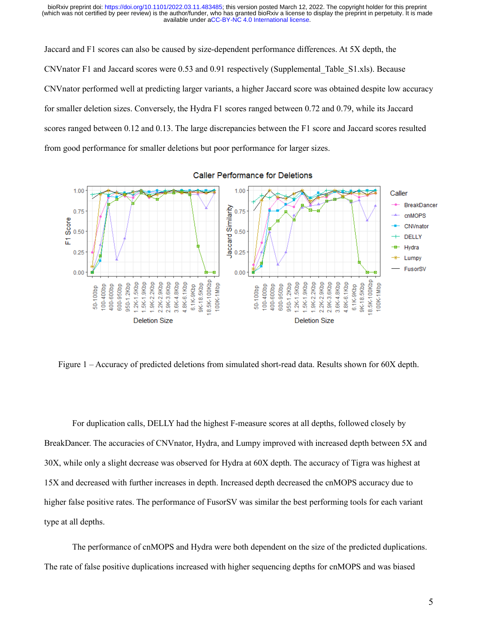Jaccard and F1 scores can also be caused by size-dependent performance differences. At 5X depth, the CNVnator F1 and Jaccard scores were 0.53 and 0.91 respectively (Supplemental\_Table\_S1.xls). Because CNVnator performed well at predicting larger variants, a higher Jaccard score was obtained despite low accuracy for smaller deletion sizes. Conversely, the Hydra F1 scores ranged between 0.72 and 0.79, while its Jaccard scores ranged between 0.12 and 0.13. The large discrepancies between the F1 score and Jaccard scores resulted from good performance for smaller deletions but poor performance for larger sizes.



**Caller Performance for Deletions** 

Figure 1 – Accuracy of predicted deletions from simulated short-read data. Results shown for 60X depth.

For duplication calls, DELLY had the highest F-measure scores at all depths, followed closely by BreakDancer. The accuracies of CNVnator, Hydra, and Lumpy improved with increased depth between 5X and 30X, while only a slight decrease was observed for Hydra at 60X depth. The accuracy of Tigra was highest at 15X and decreased with further increases in depth. Increased depth decreased the cnMOPS accuracy due to higher false positive rates. The performance of FusorSV was similar the best performing tools for each variant type at all depths.

The performance of cnMOPS and Hydra were both dependent on the size of the predicted duplications. The rate of false positive duplications increased with higher sequencing depths for cnMOPS and was biased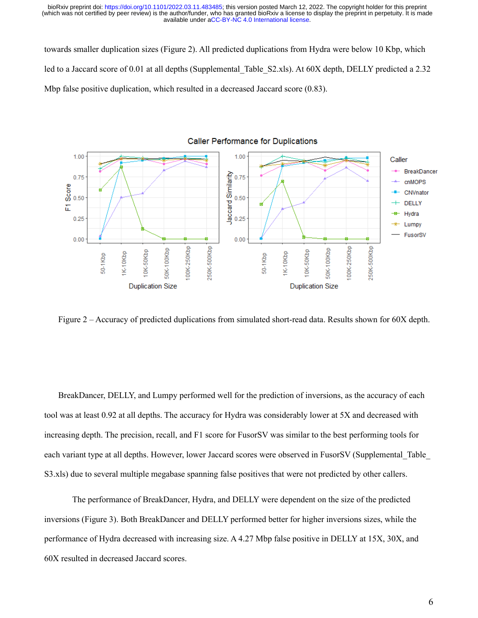towards smaller duplication sizes (Figure 2). All predicted duplications from Hydra were below 10 Kbp, which led to a Jaccard score of 0.01 at all depths (Supplemental Table S2.xls). At 60X depth, DELLY predicted a 2.32 Mbp false positive duplication, which resulted in a decreased Jaccard score (0.83).



Figure 2 – Accuracy of predicted duplications from simulated short-read data. Results shown for 60X depth.

BreakDancer, DELLY, and Lumpy performed well for the prediction of inversions, as the accuracy of each tool was at least 0.92 at all depths. The accuracy for Hydra was considerably lower at 5X and decreased with increasing depth. The precision, recall, and F1 score for FusorSV was similar to the best performing tools for each variant type at all depths. However, lower Jaccard scores were observed in FusorSV (Supplemental\_Table\_ S3.xls) due to several multiple megabase spanning false positives that were not predicted by other callers.

 The performance of BreakDancer, Hydra, and DELLY were dependent on the size of the predicted inversions (Figure 3). Both BreakDancer and DELLY performed better for higher inversions sizes, while the performance of Hydra decreased with increasing size. A 4.27 Mbp false positive in DELLY at 15X, 30X, and 60X resulted in decreased Jaccard scores.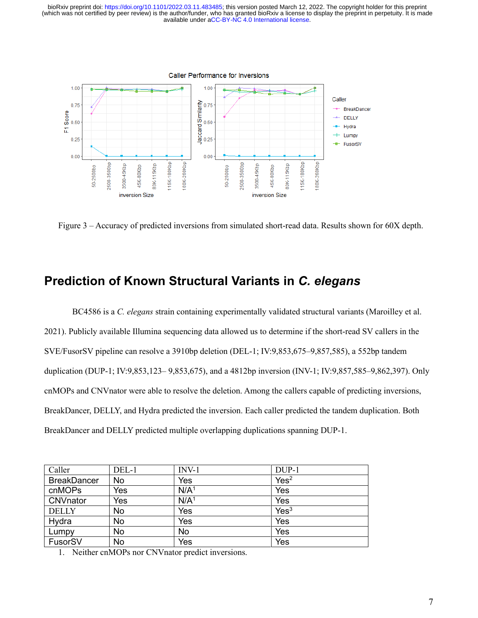

Figure 3 – Accuracy of predicted inversions from simulated short-read data. Results shown for 60X depth.

### **Prediction of Known Structural Variants in** *C. elegans*

BC4586 is a *C. elegans* strain containing experimentally validated structural variants (Maroilley et al. 2021). Publicly available Illumina sequencing data allowed us to determine if the short-read SV callers in the SVE/FusorSV pipeline can resolve a 3910bp deletion (DEL-1; IV:9,853,675–9,857,585), a 552bp tandem duplication (DUP-1; IV:9,853,123– 9,853,675), and a 4812bp inversion (INV-1; IV:9,857,585–9,862,397). Only cnMOPs and CNVnator were able to resolve the deletion. Among the callers capable of predicting inversions, BreakDancer, DELLY, and Hydra predicted the inversion. Each caller predicted the tandem duplication. Both BreakDancer and DELLY predicted multiple overlapping duplications spanning DUP-1.

| Caller             | DEL-1 | $INV-1$          | DUP-1            |
|--------------------|-------|------------------|------------------|
| <b>BreakDancer</b> | No    | Yes              | Yes <sup>2</sup> |
| cnMOPs             | Yes   | N/A <sup>1</sup> | Yes              |
| <b>CNVnator</b>    | Yes   | N/A <sup>1</sup> | Yes              |
| <b>DELLY</b>       | No    | Yes              | Yes <sup>3</sup> |
| Hydra              | No    | Yes              | Yes              |
| Lumpy              | No    | No               | Yes              |
| FusorSV            | No    | Yes              | Yes              |

1. Neither cnMOPs nor CNVnator predict inversions.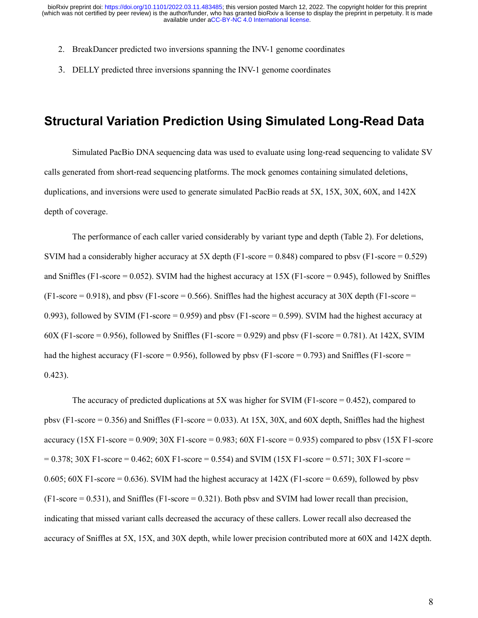- 2. BreakDancer predicted two inversions spanning the INV-1 genome coordinates
- 3. DELLY predicted three inversions spanning the INV-1 genome coordinates

#### **Structural Variation Prediction Using Simulated Long-Read Data**

Simulated PacBio DNA sequencing data was used to evaluate using long-read sequencing to validate SV calls generated from short-read sequencing platforms. The mock genomes containing simulated deletions, duplications, and inversions were used to generate simulated PacBio reads at 5X, 15X, 30X, 60X, and 142X depth of coverage.

The performance of each caller varied considerably by variant type and depth (Table 2). For deletions, SVIM had a considerably higher accuracy at 5X depth (F1-score = 0.848) compared to pbsv (F1-score = 0.529) and Sniffles (F1-score = 0.052). SVIM had the highest accuracy at  $15X$  (F1-score = 0.945), followed by Sniffles  $(F1-score = 0.918)$ , and pbsv  $(F1-score = 0.566)$ . Sniffles had the highest accuracy at 30X depth  $(F1-score = 0.566)$ 0.993), followed by SVIM (F1-score = 0.959) and pbsv (F1-score = 0.599). SVIM had the highest accuracy at  $60X$  (F1-score = 0.956), followed by Sniffles (F1-score = 0.929) and pbsv (F1-score = 0.781). At 142X, SVIM had the highest accuracy (F1-score = 0.956), followed by pbsv (F1-score = 0.793) and Sniffles (F1-score = 0.423).

The accuracy of predicted duplications at 5X was higher for SVIM (F1-score  $= 0.452$ ), compared to pbsv (F1-score  $= 0.356$ ) and Sniffles (F1-score  $= 0.033$ ). At 15X, 30X, and 60X depth, Sniffles had the highest accuracy (15X F1-score = 0.909; 30X F1-score = 0.983; 60X F1-score = 0.935) compared to pbsv (15X F1-score  $= 0.378$ ;  $30X F1-score = 0.462$ ;  $60X F1-score = 0.554$  and SVIM (15X F1-score = 0.571;  $30X F1-score = 0.571$ 0.605; 60X F1-score = 0.636). SVIM had the highest accuracy at  $142X$  (F1-score = 0.659), followed by pbsv  $(F1-score = 0.531)$ , and Sniffles  $(F1-score = 0.321)$ . Both pbsv and SVIM had lower recall than precision, indicating that missed variant calls decreased the accuracy of these callers. Lower recall also decreased the accuracy of Sniffles at 5X, 15X, and 30X depth, while lower precision contributed more at 60X and 142X depth.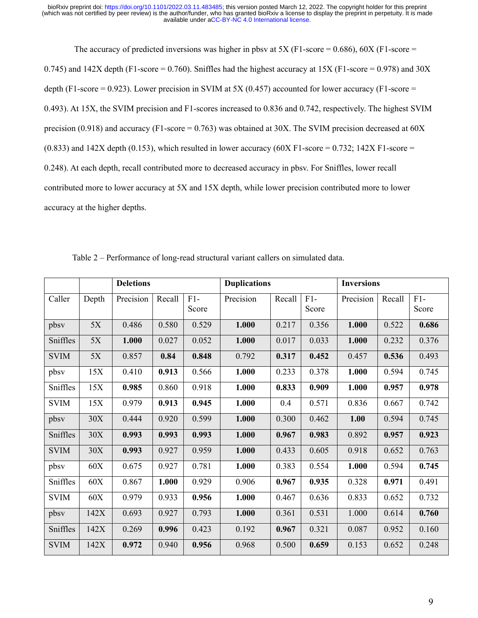The accuracy of predicted inversions was higher in pbsv at  $5X$  (F1-score = 0.686), 60X (F1-score = 0.745) and 142X depth (F1-score = 0.760). Sniffles had the highest accuracy at 15X (F1-score = 0.978) and 30X depth (F1-score = 0.923). Lower precision in SVIM at 5X (0.457) accounted for lower accuracy (F1-score = 0.493). At 15X, the SVIM precision and F1-scores increased to 0.836 and 0.742, respectively. The highest SVIM precision (0.918) and accuracy (F1-score =  $0.763$ ) was obtained at 30X. The SVIM precision decreased at 60X  $(0.833)$  and 142X depth  $(0.153)$ , which resulted in lower accuracy  $(60X F1-score = 0.732; 142X F1-score =$ 0.248). At each depth, recall contributed more to decreased accuracy in pbsv. For Sniffles, lower recall contributed more to lower accuracy at 5X and 15X depth, while lower precision contributed more to lower accuracy at the higher depths.

|             | <b>Deletions</b> |           |        | <b>Duplications</b> |           |        | <b>Inversions</b> |           |        |                |
|-------------|------------------|-----------|--------|---------------------|-----------|--------|-------------------|-----------|--------|----------------|
| Caller      | Depth            | Precision | Recall | $F1-$<br>Score      | Precision | Recall | $F1-$<br>Score    | Precision | Recall | $F1-$<br>Score |
| pbsy        | $5X$             | 0.486     | 0.580  | 0.529               | 1.000     | 0.217  | 0.356             | 1.000     | 0.522  | 0.686          |
| Sniffles    | 5X               | 1.000     | 0.027  | 0.052               | 1.000     | 0.017  | 0.033             | 1.000     | 0.232  | 0.376          |
| <b>SVIM</b> | 5X               | 0.857     | 0.84   | 0.848               | 0.792     | 0.317  | 0.452             | 0.457     | 0.536  | 0.493          |
| pbsy        | 15X              | 0.410     | 0.913  | 0.566               | 1.000     | 0.233  | 0.378             | 1.000     | 0.594  | 0.745          |
| Sniffles    | 15X              | 0.985     | 0.860  | 0.918               | 1.000     | 0.833  | 0.909             | 1.000     | 0.957  | 0.978          |
| <b>SVIM</b> | 15X              | 0.979     | 0.913  | 0.945               | 1.000     | 0.4    | 0.571             | 0.836     | 0.667  | 0.742          |
| pbsy        | 30X              | 0.444     | 0.920  | 0.599               | 1.000     | 0.300  | 0.462             | 1.00      | 0.594  | 0.745          |
| Sniffles    | 30X              | 0.993     | 0.993  | 0.993               | 1.000     | 0.967  | 0.983             | 0.892     | 0.957  | 0.923          |
| <b>SVIM</b> | 30X              | 0.993     | 0.927  | 0.959               | 1.000     | 0.433  | 0.605             | 0.918     | 0.652  | 0.763          |
| pbsy        | 60X              | 0.675     | 0.927  | 0.781               | 1.000     | 0.383  | 0.554             | 1.000     | 0.594  | 0.745          |
| Sniffles    | 60X              | 0.867     | 1.000  | 0.929               | 0.906     | 0.967  | 0.935             | 0.328     | 0.971  | 0.491          |
| <b>SVIM</b> | 60X              | 0.979     | 0.933  | 0.956               | 1.000     | 0.467  | 0.636             | 0.833     | 0.652  | 0.732          |
| pbsy        | 142X             | 0.693     | 0.927  | 0.793               | 1.000     | 0.361  | 0.531             | 1.000     | 0.614  | 0.760          |
| Sniffles    | 142X             | 0.269     | 0.996  | 0.423               | 0.192     | 0.967  | 0.321             | 0.087     | 0.952  | 0.160          |
| <b>SVIM</b> | 142X             | 0.972     | 0.940  | 0.956               | 0.968     | 0.500  | 0.659             | 0.153     | 0.652  | 0.248          |

Table 2 – Performance of long-read structural variant callers on simulated data.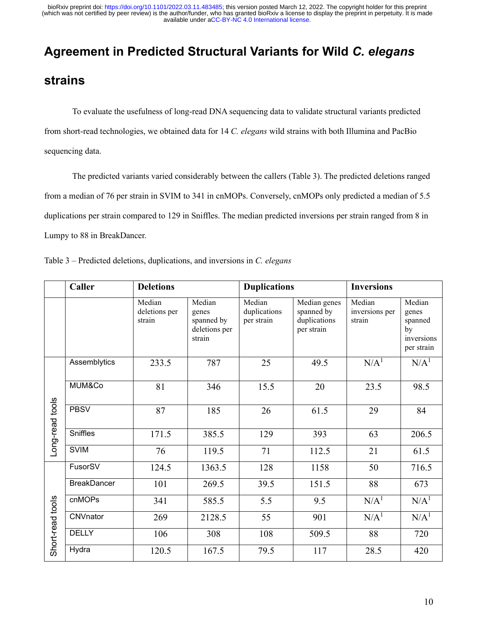# **Agreement in Predicted Structural Variants for Wild** *C. elegans*

### **strains**

To evaluate the usefulness of long-read DNA sequencing data to validate structural variants predicted from short-read technologies, we obtained data for 14 *C. elegans* wild strains with both Illumina and PacBio sequencing data.

The predicted variants varied considerably between the callers (Table 3). The predicted deletions ranged from a median of 76 per strain in SVIM to 341 in cnMOPs. Conversely, cnMOPs only predicted a median of 5.5 duplications per strain compared to 129 in Sniffles. The median predicted inversions per strain ranged from 8 in Lumpy to 88 in BreakDancer.

| Table 3 – Predicted deletions, duplications, and inversions in C. elegans |  |  |  |
|---------------------------------------------------------------------------|--|--|--|
|---------------------------------------------------------------------------|--|--|--|

|                  | Caller<br><b>Deletions</b> |                                   |                                                          | <b>Duplications</b>                  |                                                          | <b>Inversions</b>                  |                                                              |  |
|------------------|----------------------------|-----------------------------------|----------------------------------------------------------|--------------------------------------|----------------------------------------------------------|------------------------------------|--------------------------------------------------------------|--|
|                  |                            | Median<br>deletions per<br>strain | Median<br>genes<br>spanned by<br>deletions per<br>strain | Median<br>duplications<br>per strain | Median genes<br>spanned by<br>duplications<br>per strain | Median<br>inversions per<br>strain | Median<br>genes<br>spanned<br>by<br>inversions<br>per strain |  |
|                  | Assemblytics               | 233.5                             | 787                                                      | 25                                   | 49.5                                                     | N/A <sup>1</sup>                   | N/A <sup>1</sup>                                             |  |
| Long-read tools  | MUM&Co                     | 81                                | 346                                                      | 15.5                                 | 20                                                       | 23.5                               | 98.5                                                         |  |
|                  | <b>PBSV</b>                | 87                                | 185                                                      | 26                                   | 61.5                                                     | 29                                 | 84                                                           |  |
|                  | Sniffles                   | 171.5                             | 385.5                                                    | 129                                  | 393                                                      | 63                                 | 206.5                                                        |  |
|                  | <b>SVIM</b>                | 76                                | 119.5                                                    | 71                                   | 112.5                                                    | 21                                 | 61.5                                                         |  |
|                  | FusorSV                    | 124.5                             | 1363.5                                                   | 128                                  | 1158                                                     | 50                                 | 716.5                                                        |  |
|                  | <b>BreakDancer</b>         | 101                               | 269.5                                                    | 39.5                                 | 151.5                                                    | 88                                 | 673                                                          |  |
|                  | cnMOPs                     | 341                               | 585.5                                                    | 5.5                                  | 9.5                                                      | N/A <sup>1</sup>                   | N/A <sup>1</sup>                                             |  |
| Short-read tools | CNVnator                   | 269                               | 2128.5                                                   | 55                                   | 901                                                      | N/A <sup>1</sup>                   | N/A <sup>1</sup>                                             |  |
|                  | <b>DELLY</b>               | 106                               | 308                                                      | 108                                  | 509.5                                                    | 88                                 | 720                                                          |  |
|                  | Hydra                      | 120.5                             | 167.5                                                    | 79.5                                 | 117                                                      | 28.5                               | 420                                                          |  |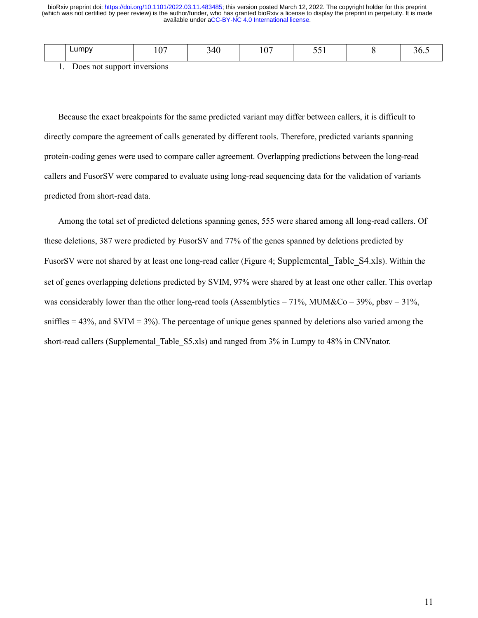|                                                 | $\sim$<br>∟umpv | $\sqrt{2}$<br>., | $\Lambda$ $\Omega$<br>TV | $\sim$ $\sim$ | - - -<br>. |  |
|-------------------------------------------------|-----------------|------------------|--------------------------|---------------|------------|--|
| the contract of the contract of the contract of |                 |                  |                          |               |            |  |

1. Does not support inversions

Because the exact breakpoints for the same predicted variant may differ between callers, it is difficult to directly compare the agreement of calls generated by different tools. Therefore, predicted variants spanning protein-coding genes were used to compare caller agreement. Overlapping predictions between the long-read callers and FusorSV were compared to evaluate using long-read sequencing data for the validation of variants predicted from short-read data.

Among the total set of predicted deletions spanning genes, 555 were shared among all long-read callers. Of these deletions, 387 were predicted by FusorSV and 77% of the genes spanned by deletions predicted by FusorSV were not shared by at least one long-read caller (Figure 4; Supplemental\_Table\_S4.xls). Within the set of genes overlapping deletions predicted by SVIM, 97% were shared by at least one other caller. This overlap was considerably lower than the other long-read tools (Assemblytics =  $71\%$ , MUM&Co =  $39\%$ , pbsv =  $31\%$ , sniffles  $= 43\%$ , and SVIM  $= 3\%$ ). The percentage of unique genes spanned by deletions also varied among the short-read callers (Supplemental Table S5.xls) and ranged from 3% in Lumpy to 48% in CNVnator.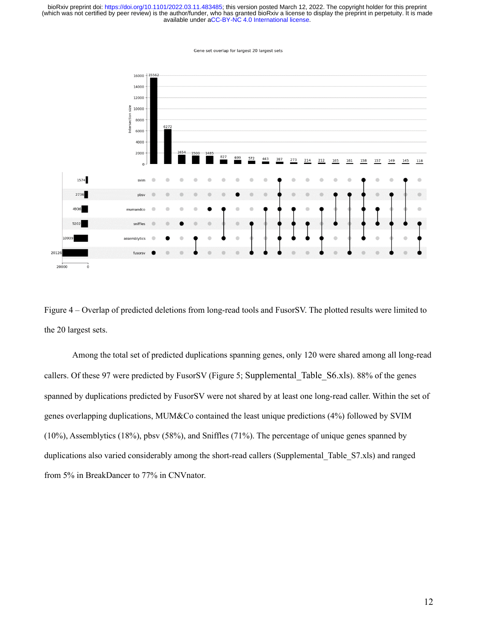

Gene set overlan for largest 20 largest sets

Figure 4 – Overlap of predicted deletions from long-read tools and FusorSV. The plotted results were limited to the 20 largest sets.

Among the total set of predicted duplications spanning genes, only 120 were shared among all long-read callers. Of these 97 were predicted by FusorSV (Figure 5; Supplemental\_Table\_S6.xls). 88% of the genes spanned by duplications predicted by FusorSV were not shared by at least one long-read caller. Within the set of genes overlapping duplications, MUM&Co contained the least unique predictions (4%) followed by SVIM (10%), Assemblytics (18%), pbsv (58%), and Sniffles (71%). The percentage of unique genes spanned by duplications also varied considerably among the short-read callers (Supplemental Table S7.xls) and ranged from 5% in BreakDancer to 77% in CNVnator.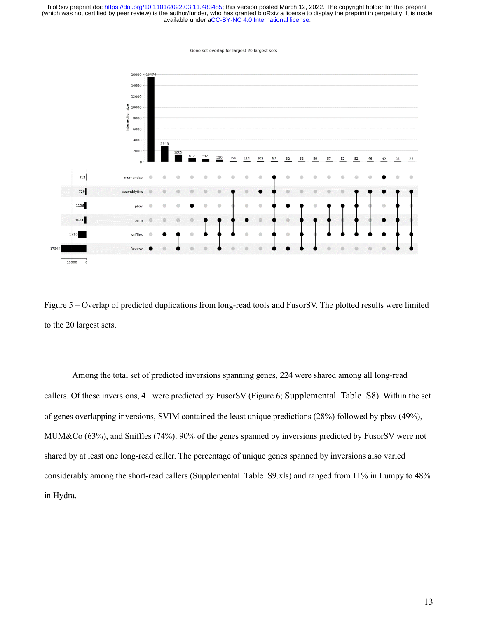Gene set overlap for largest 20 largest sets



Figure 5 – Overlap of predicted duplications from long-read tools and FusorSV. The plotted results were limited to the 20 largest sets.

Among the total set of predicted inversions spanning genes, 224 were shared among all long-read callers. Of these inversions, 41 were predicted by FusorSV (Figure 6; Supplemental\_Table\_S8). Within the set of genes overlapping inversions, SVIM contained the least unique predictions (28%) followed by pbsv (49%), MUM&Co (63%), and Sniffles (74%). 90% of the genes spanned by inversions predicted by FusorSV were not shared by at least one long-read caller. The percentage of unique genes spanned by inversions also varied considerably among the short-read callers (Supplemental\_Table\_S9.xls) and ranged from 11% in Lumpy to 48% in Hydra.

13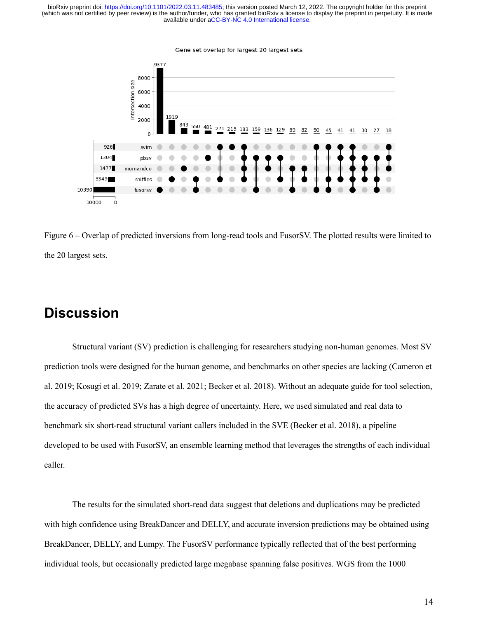

Gene set overlap for largest 20 largest sets

Figure 6 – Overlap of predicted inversions from long-read tools and FusorSV. The plotted results were limited to the 20 largest sets.

# **Discussion**

Structural variant (SV) prediction is challenging for researchers studying non-human genomes. Most SV prediction tools were designed for the human genome, and benchmarks on other species are lacking (Cameron et al. 2019; Kosugi et al. 2019; Zarate et al. 2021; Becker et al. 2018). Without an adequate guide for tool selection, the accuracy of predicted SVs has a high degree of uncertainty. Here, we used simulated and real data to benchmark six short-read structural variant callers included in the SVE (Becker et al. 2018), a pipeline developed to be used with FusorSV, an ensemble learning method that leverages the strengths of each individual caller.

The results for the simulated short-read data suggest that deletions and duplications may be predicted with high confidence using BreakDancer and DELLY, and accurate inversion predictions may be obtained using BreakDancer, DELLY, and Lumpy. The FusorSV performance typically reflected that of the best performing individual tools, but occasionally predicted large megabase spanning false positives. WGS from the 1000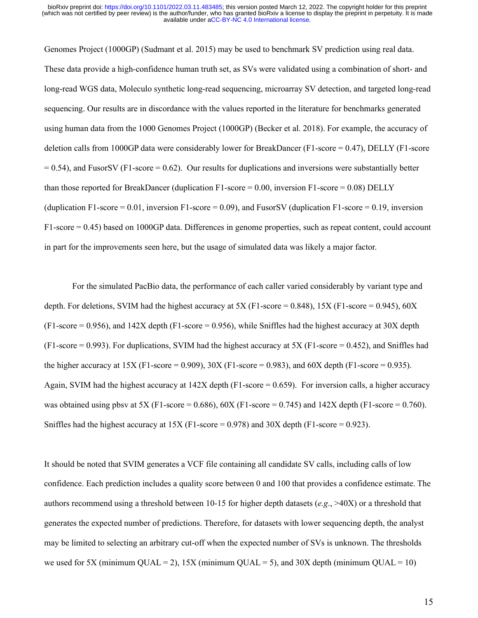Genomes Project (1000GP) (Sudmant et al. 2015) may be used to benchmark SV prediction using real data. These data provide a high-confidence human truth set, as SVs were validated using a combination of short- and long-read WGS data, Moleculo synthetic long-read sequencing, microarray SV detection, and targeted long-read sequencing. Our results are in discordance with the values reported in the literature for benchmarks generated using human data from the 1000 Genomes Project (1000GP) (Becker et al. 2018). For example, the accuracy of deletion calls from 1000GP data were considerably lower for BreakDancer (F1-score = 0.47), DELLY (F1-score  $= 0.54$ ), and FusorSV (F1-score  $= 0.62$ ). Our results for duplications and inversions were substantially better than those reported for BreakDancer (duplication F1-score = 0.00, inversion F1-score = 0.08) DELLY (duplication F1-score =  $0.01$ , inversion F1-score =  $0.09$ ), and FusorSV (duplication F1-score =  $0.19$ , inversion F1-score = 0.45) based on 1000GP data. Differences in genome properties, such as repeat content, could account in part for the improvements seen here, but the usage of simulated data was likely a major factor.

For the simulated PacBio data, the performance of each caller varied considerably by variant type and depth. For deletions, SVIM had the highest accuracy at 5X (F1-score = 0.848), 15X (F1-score = 0.945), 60X  $(F1-score = 0.956)$ , and  $142X$  depth  $(F1-score = 0.956)$ , while Sniffles had the highest accuracy at 30X depth  $(F1-score = 0.993)$ . For duplications, SVIM had the highest accuracy at 5X  $(F1-score = 0.452)$ , and Sniffles had the higher accuracy at  $15X$  (F1-score = 0.909),  $30X$  (F1-score = 0.983), and  $60X$  depth (F1-score = 0.935). Again, SVIM had the highest accuracy at  $142X$  depth (F1-score = 0.659). For inversion calls, a higher accuracy was obtained using pbsv at 5X (F1-score = 0.686),  $60X$  (F1-score = 0.745) and 142X depth (F1-score = 0.760). Sniffles had the highest accuracy at  $15X$  (F1-score = 0.978) and  $30X$  depth (F1-score = 0.923).

It should be noted that SVIM generates a VCF file containing all candidate SV calls, including calls of low confidence. Each prediction includes a quality score between 0 and 100 that provides a confidence estimate. The authors recommend using a threshold between 10-15 for higher depth datasets (*e.g*., >40X) or a threshold that generates the expected number of predictions. Therefore, for datasets with lower sequencing depth, the analyst may be limited to selecting an arbitrary cut-off when the expected number of SVs is unknown. The thresholds we used for 5X (minimum QUAL = 2),  $15X$  (minimum QUAL = 5), and  $30X$  depth (minimum QUAL = 10)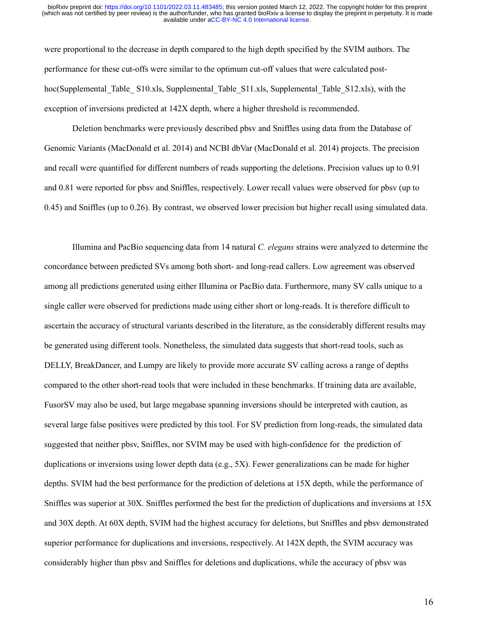were proportional to the decrease in depth compared to the high depth specified by the SVIM authors. The performance for these cut-offs were similar to the optimum cut-off values that were calculated posthoc(Supplemental Table S10.xls, Supplemental Table S11.xls, Supplemental Table S12.xls), with the exception of inversions predicted at 142X depth, where a higher threshold is recommended.

Deletion benchmarks were previously described pbsv and Sniffles using data from the Database of Genomic Variants (MacDonald et al. 2014) and NCBI dbVar (MacDonald et al. 2014) projects. The precision and recall were quantified for different numbers of reads supporting the deletions. Precision values up to 0.91 and 0.81 were reported for pbsv and Sniffles, respectively. Lower recall values were observed for pbsv (up to 0.45) and Sniffles (up to 0.26). By contrast, we observed lower precision but higher recall using simulated data.

Illumina and PacBio sequencing data from 14 natural *C. elegans* strains were analyzed to determine the concordance between predicted SVs among both short- and long-read callers. Low agreement was observed among all predictions generated using either Illumina or PacBio data. Furthermore, many SV calls unique to a single caller were observed for predictions made using either short or long-reads. It is therefore difficult to ascertain the accuracy of structural variants described in the literature, as the considerably different results may be generated using different tools. Nonetheless, the simulated data suggests that short-read tools, such as DELLY, BreakDancer, and Lumpy are likely to provide more accurate SV calling across a range of depths compared to the other short-read tools that were included in these benchmarks. If training data are available, FusorSV may also be used, but large megabase spanning inversions should be interpreted with caution, as several large false positives were predicted by this tool. For SV prediction from long-reads, the simulated data suggested that neither pbsv, Sniffles, nor SVIM may be used with high-confidence for the prediction of duplications or inversions using lower depth data (e.g., 5X). Fewer generalizations can be made for higher depths. SVIM had the best performance for the prediction of deletions at 15X depth, while the performance of Sniffles was superior at 30X. Sniffles performed the best for the prediction of duplications and inversions at 15X and 30X depth. At 60X depth, SVIM had the highest accuracy for deletions, but Sniffles and pbsv demonstrated superior performance for duplications and inversions, respectively. At 142X depth, the SVIM accuracy was considerably higher than pbsv and Sniffles for deletions and duplications, while the accuracy of pbsv was

16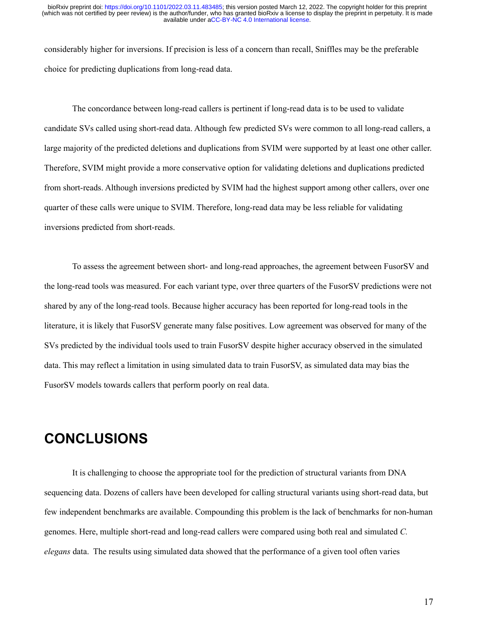considerably higher for inversions. If precision is less of a concern than recall, Sniffles may be the preferable choice for predicting duplications from long-read data.

The concordance between long-read callers is pertinent if long-read data is to be used to validate candidate SVs called using short-read data. Although few predicted SVs were common to all long-read callers, a large majority of the predicted deletions and duplications from SVIM were supported by at least one other caller. Therefore, SVIM might provide a more conservative option for validating deletions and duplications predicted from short-reads. Although inversions predicted by SVIM had the highest support among other callers, over one quarter of these calls were unique to SVIM. Therefore, long-read data may be less reliable for validating inversions predicted from short-reads.

To assess the agreement between short- and long-read approaches, the agreement between FusorSV and the long-read tools was measured. For each variant type, over three quarters of the FusorSV predictions were not shared by any of the long-read tools. Because higher accuracy has been reported for long-read tools in the literature, it is likely that FusorSV generate many false positives. Low agreement was observed for many of the SVs predicted by the individual tools used to train FusorSV despite higher accuracy observed in the simulated data. This may reflect a limitation in using simulated data to train FusorSV, as simulated data may bias the FusorSV models towards callers that perform poorly on real data.

### **CONCLUSIONS**

It is challenging to choose the appropriate tool for the prediction of structural variants from DNA sequencing data. Dozens of callers have been developed for calling structural variants using short-read data, but few independent benchmarks are available. Compounding this problem is the lack of benchmarks for non-human genomes. Here, multiple short-read and long-read callers were compared using both real and simulated *C. elegans* data. The results using simulated data showed that the performance of a given tool often varies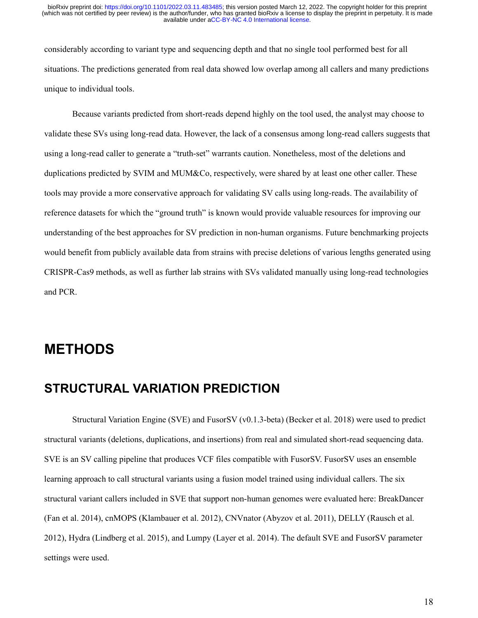considerably according to variant type and sequencing depth and that no single tool performed best for all situations. The predictions generated from real data showed low overlap among all callers and many predictions unique to individual tools.

Because variants predicted from short-reads depend highly on the tool used, the analyst may choose to validate these SVs using long-read data. However, the lack of a consensus among long-read callers suggests that using a long-read caller to generate a "truth-set" warrants caution. Nonetheless, most of the deletions and duplications predicted by SVIM and MUM&Co, respectively, were shared by at least one other caller. These tools may provide a more conservative approach for validating SV calls using long-reads. The availability of reference datasets for which the "ground truth" is known would provide valuable resources for improving our understanding of the best approaches for SV prediction in non-human organisms. Future benchmarking projects would benefit from publicly available data from strains with precise deletions of various lengths generated using CRISPR-Cas9 methods, as well as further lab strains with SVs validated manually using long-read technologies and PCR.

### **METHODS**

#### **STRUCTURAL VARIATION PREDICTION**

Structural Variation Engine (SVE) and FusorSV (v0.1.3-beta) (Becker et al. 2018) were used to predict structural variants (deletions, duplications, and insertions) from real and simulated short-read sequencing data. SVE is an SV calling pipeline that produces VCF files compatible with FusorSV. FusorSV uses an ensemble learning approach to call structural variants using a fusion model trained using individual callers. The six structural variant callers included in SVE that support non-human genomes were evaluated here: BreakDancer (Fan et al. 2014), cnMOPS (Klambauer et al. 2012), CNVnator (Abyzov et al. 2011), DELLY (Rausch et al. 2012), Hydra (Lindberg et al. 2015), and Lumpy (Layer et al. 2014). The default SVE and FusorSV parameter settings were used.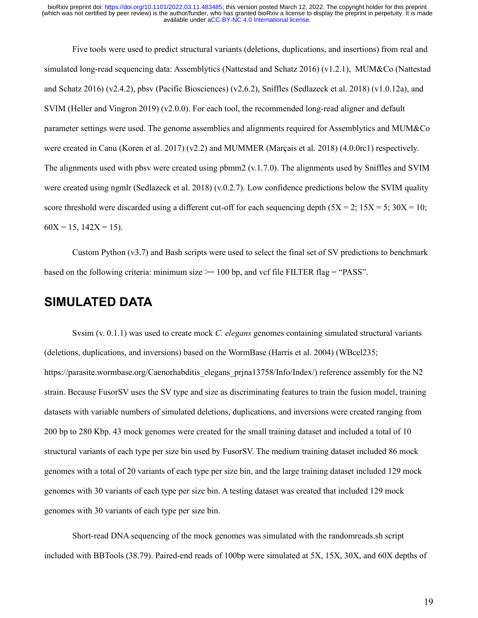Five tools were used to predict structural variants (deletions, duplications, and insertions) from real and simulated long-read sequencing data: Assemblytics (Nattestad and Schatz 2016) (v1.2.1), MUM&Co (Nattestad and Schatz 2016) (v2.4.2), pbsv (Pacific Biosciences) (v2.6.2), Sniffles (Sedlazeck et al. 2018) (v1.0.12a), and SVIM (Heller and Vingron 2019) ( $v2.0.0$ ). For each tool, the recommended long-read aligner and default parameter settings were used. The genome assemblies and alignments required for Assemblytics and MUM&Co were created in Canu (Koren et al. 2017) (v2.2) and MUMMER (Marçais et al. 2018) (4.0.0rc1) respectively. The alignments used with pbsv were created using pbmm2 (v.1.7.0). The alignments used by Sniffles and SVIM were created using ngmlr (Sedlazeck et al. 2018) (v.0.2.7). Low confidence predictions below the SVIM quality score threshold were discarded using a different cut-off for each sequencing depth  $(5X = 2; 15X = 5; 30X = 10;$  $60X = 15$ ,  $142X = 15$ ).

Custom Python (v3.7) and Bash scripts were used to select the final set of SV predictions to benchmark based on the following criteria: minimum size  $\ge$  = 100 bp, and vcf file FILTER flag = "PASS".

#### **SIMULATED DATA**

Svsim (v. 0.1.1) was used to create mock *C. elegans* genomes containing simulated structural variants (deletions, duplications, and inversions) based on the WormBase (Harris et al. 2004) (WBcel235; https://parasite.wormbase.org/Caenorhabditis\_elegans\_prjna13758/Info/Index/) reference assembly for the N2 strain. Because FusorSV uses the SV type and size as discriminating features to train the fusion model, training datasets with variable numbers of simulated deletions, duplications, and inversions were created ranging from 200 bp to 280 Kbp. 43 mock genomes were created for the small training dataset and included a total of 10 structural variants of each type per size bin used by FusorSV. The medium training dataset included 86 mock genomes with a total of 20 variants of each type per size bin, and the large training dataset included 129 mock genomes with 30 variants of each type per size bin. A testing dataset was created that included 129 mock genomes with 30 variants of each type per size bin.

Short-read DNA sequencing of the mock genomes was simulated with the randomreads.sh script included with BBTools (38.79). Paired-end reads of 100bp were simulated at 5X, 15X, 30X, and 60X depths of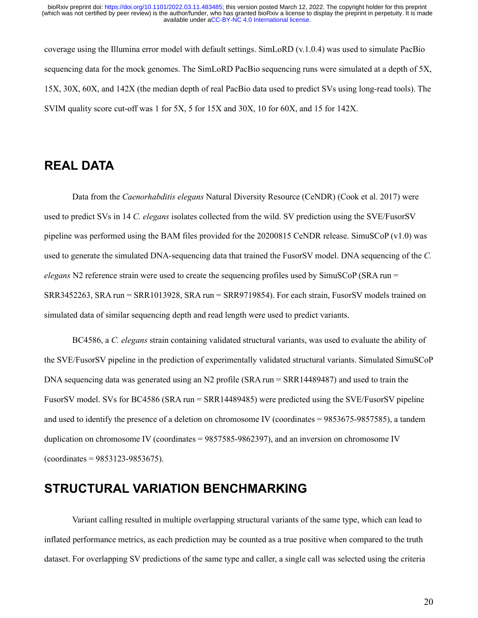coverage using the Illumina error model with default settings. SimLoRD (v.1.0.4) was used to simulate PacBio sequencing data for the mock genomes. The SimLoRD PacBio sequencing runs were simulated at a depth of 5X, 15X, 30X, 60X, and 142X (the median depth of real PacBio data used to predict SVs using long-read tools). The SVIM quality score cut-off was 1 for 5X, 5 for 15X and 30X, 10 for 60X, and 15 for 142X.

### **REAL DATA**

Data from the *Caenorhabditis elegans* Natural Diversity Resource (CeNDR) (Cook et al. 2017) were used to predict SVs in 14 *C. elegans* isolates collected from the wild. SV prediction using the SVE/FusorSV pipeline was performed using the BAM files provided for the 20200815 CeNDR release. SimuSCoP (v1.0) was used to generate the simulated DNA-sequencing data that trained the FusorSV model. DNA sequencing of the *C. elegans* N2 reference strain were used to create the sequencing profiles used by SimuSCoP (SRA run = SRR3452263, SRA run = SRR1013928, SRA run = SRR9719854). For each strain, FusorSV models trained on simulated data of similar sequencing depth and read length were used to predict variants.

BC4586, a *C. elegans* strain containing validated structural variants, was used to evaluate the ability of the SVE/FusorSV pipeline in the prediction of experimentally validated structural variants. Simulated SimuSCoP DNA sequencing data was generated using an N2 profile (SRA run = SRR14489487) and used to train the FusorSV model. SVs for BC4586 (SRA run = SRR14489485) were predicted using the SVE/FusorSV pipeline and used to identify the presence of a deletion on chromosome IV (coordinates = 9853675-9857585), a tandem duplication on chromosome IV (coordinates = 9857585-9862397), and an inversion on chromosome IV  $(coordinates = 9853123 - 9853675).$ 

#### **STRUCTURAL VARIATION BENCHMARKING**

Variant calling resulted in multiple overlapping structural variants of the same type, which can lead to inflated performance metrics, as each prediction may be counted as a true positive when compared to the truth dataset. For overlapping SV predictions of the same type and caller, a single call was selected using the criteria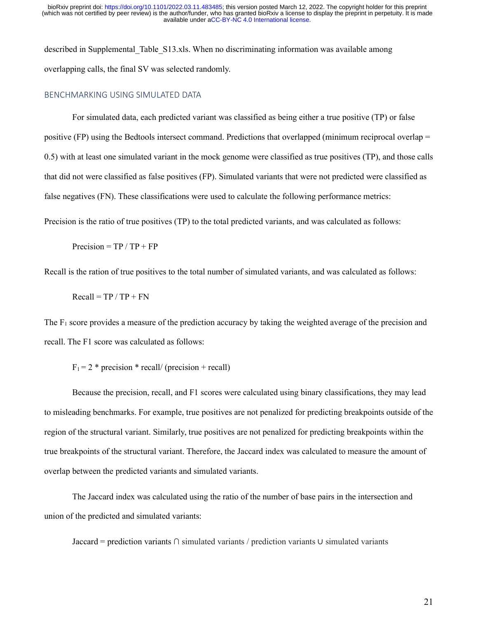described in Supplemental\_Table\_S13.xls. When no discriminating information was available among overlapping calls, the final SV was selected randomly.

#### BENCHMARKING USING SIMULATED DATA

For simulated data, each predicted variant was classified as being either a true positive (TP) or false positive (FP) using the Bedtools intersect command. Predictions that overlapped (minimum reciprocal overlap = 0.5) with at least one simulated variant in the mock genome were classified as true positives (TP), and those calls that did not were classified as false positives (FP). Simulated variants that were not predicted were classified as false negatives (FN). These classifications were used to calculate the following performance metrics:

Precision is the ratio of true positives (TP) to the total predicted variants, and was calculated as follows:

 $Precision = TP / TP + FP$ 

Recall is the ration of true positives to the total number of simulated variants, and was calculated as follows:

 $Recall = TP / TP + FN$ 

The F<sub>1</sub> score provides a measure of the prediction accuracy by taking the weighted average of the precision and recall. The F1 score was calculated as follows:

 $F_1 = 2$  \* precision \* recall/ (precision + recall)

Because the precision, recall, and F1 scores were calculated using binary classifications, they may lead to misleading benchmarks. For example, true positives are not penalized for predicting breakpoints outside of the region of the structural variant. Similarly, true positives are not penalized for predicting breakpoints within the true breakpoints of the structural variant. Therefore, the Jaccard index was calculated to measure the amount of overlap between the predicted variants and simulated variants.

The Jaccard index was calculated using the ratio of the number of base pairs in the intersection and union of the predicted and simulated variants:

Jaccard = prediction variants ∩ simulated variants / prediction variants ∪ simulated variants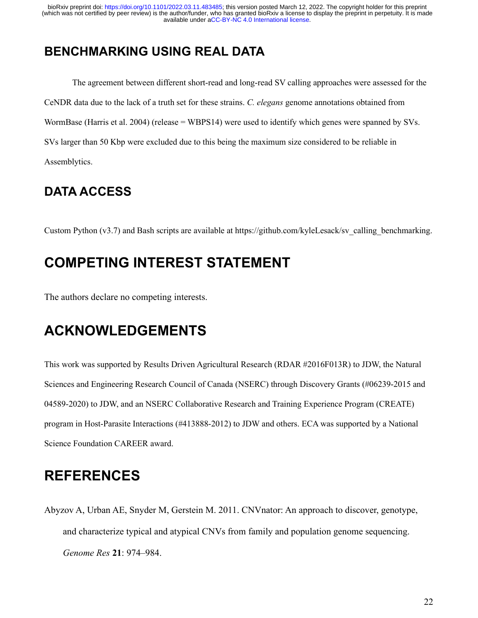# **BENCHMARKING USING REAL DATA**

The agreement between different short-read and long-read SV calling approaches were assessed for the CeNDR data due to the lack of a truth set for these strains. *C. elegans* genome annotations obtained from WormBase (Harris et al. 2004) (release = WBPS14) were used to identify which genes were spanned by SVs. SVs larger than 50 Kbp were excluded due to this being the maximum size considered to be reliable in Assemblytics.

# **DATA ACCESS**

Custom Python (v3.7) and Bash scripts are available at https://github.com/kyleLesack/sv\_calling\_benchmarking.

# **COMPETING INTEREST STATEMENT**

The authors declare no competing interests.

# **ACKNOWLEDGEMENTS**

This work was supported by Results Driven Agricultural Research (RDAR #2016F013R) to JDW, the Natural Sciences and Engineering Research Council of Canada (NSERC) through Discovery Grants (#06239-2015 and 04589-2020) to JDW, and an NSERC Collaborative Research and Training Experience Program (CREATE) program in Host-Parasite Interactions (#413888-2012) to JDW and others. ECA was supported by a National Science Foundation CAREER award.

# **REFERENCES**

Abyzov A, Urban AE, Snyder M, Gerstein M. 2011. CNVnator: An approach to discover, genotype, and characterize typical and atypical CNVs from family and population genome sequencing. *Genome Res* **21**: 974–984.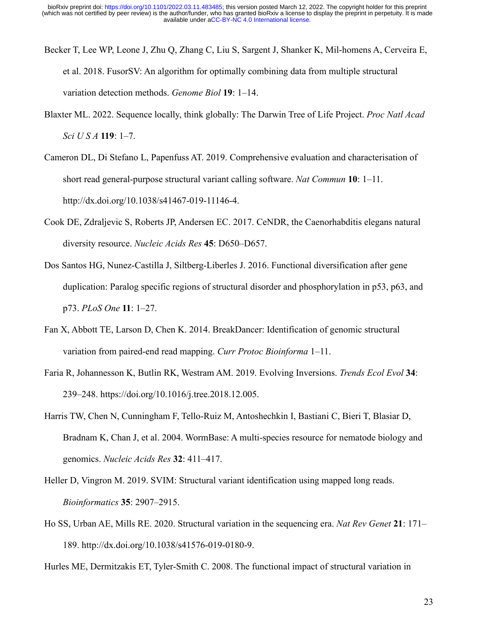- Becker T, Lee WP, Leone J, Zhu Q, Zhang C, Liu S, Sargent J, Shanker K, Mil-homens A, Cerveira E, et al. 2018. FusorSV: An algorithm for optimally combining data from multiple structural variation detection methods. *Genome Biol* **19**: 1–14.
- Blaxter ML. 2022. Sequence locally, think globally: The Darwin Tree of Life Project. *Proc Natl Acad Sci U S A* **119**: 1–7.

Cameron DL, Di Stefano L, Papenfuss AT. 2019. Comprehensive evaluation and characterisation of short read general-purpose structural variant calling software. *Nat Commun* **10**: 1–11. http://dx.doi.org/10.1038/s41467-019-11146-4.

- Cook DE, Zdraljevic S, Roberts JP, Andersen EC. 2017. CeNDR, the Caenorhabditis elegans natural diversity resource. *Nucleic Acids Res* **45**: D650–D657.
- Dos Santos HG, Nunez-Castilla J, Siltberg-Liberles J. 2016. Functional diversification after gene duplication: Paralog specific regions of structural disorder and phosphorylation in p53, p63, and p73. *PLoS One* **11**: 1–27.
- Fan X, Abbott TE, Larson D, Chen K. 2014. BreakDancer: Identification of genomic structural variation from paired-end read mapping. *Curr Protoc Bioinforma* 1–11.
- Faria R, Johannesson K, Butlin RK, Westram AM. 2019. Evolving Inversions. *Trends Ecol Evol* **34**: 239–248. https://doi.org/10.1016/j.tree.2018.12.005.
- Harris TW, Chen N, Cunningham F, Tello-Ruiz M, Antoshechkin I, Bastiani C, Bieri T, Blasiar D, Bradnam K, Chan J, et al. 2004. WormBase: A multi-species resource for nematode biology and genomics. *Nucleic Acids Res* **32**: 411–417.
- Heller D, Vingron M. 2019. SVIM: Structural variant identification using mapped long reads. *Bioinformatics* **35**: 2907–2915.
- Ho SS, Urban AE, Mills RE. 2020. Structural variation in the sequencing era. *Nat Rev Genet* **21**: 171– 189. http://dx.doi.org/10.1038/s41576-019-0180-9.

Hurles ME, Dermitzakis ET, Tyler-Smith C. 2008. The functional impact of structural variation in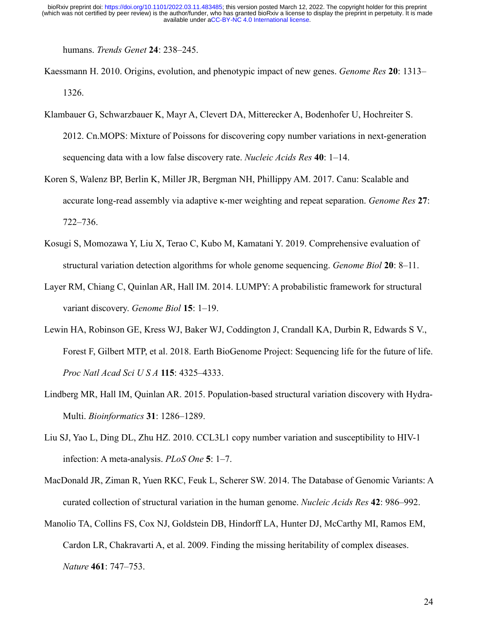humans. *Trends Genet* **24**: 238–245.

- Kaessmann H. 2010. Origins, evolution, and phenotypic impact of new genes. *Genome Res* **20**: 1313– 1326.
- Klambauer G, Schwarzbauer K, Mayr A, Clevert DA, Mitterecker A, Bodenhofer U, Hochreiter S. 2012. Cn.MOPS: Mixture of Poissons for discovering copy number variations in next-generation sequencing data with a low false discovery rate. *Nucleic Acids Res* **40**: 1–14.
- Koren S, Walenz BP, Berlin K, Miller JR, Bergman NH, Phillippy AM. 2017. Canu: Scalable and accurate long-read assembly via adaptive κ-mer weighting and repeat separation. *Genome Res* **27**: 722–736.
- Kosugi S, Momozawa Y, Liu X, Terao C, Kubo M, Kamatani Y. 2019. Comprehensive evaluation of structural variation detection algorithms for whole genome sequencing. *Genome Biol* **20**: 8–11.
- Layer RM, Chiang C, Quinlan AR, Hall IM. 2014. LUMPY: A probabilistic framework for structural variant discovery. *Genome Biol* **15**: 1–19.
- Lewin HA, Robinson GE, Kress WJ, Baker WJ, Coddington J, Crandall KA, Durbin R, Edwards S V., Forest F, Gilbert MTP, et al. 2018. Earth BioGenome Project: Sequencing life for the future of life. *Proc Natl Acad Sci U S A* **115**: 4325–4333.
- Lindberg MR, Hall IM, Quinlan AR. 2015. Population-based structural variation discovery with Hydra-Multi. *Bioinformatics* **31**: 1286–1289.
- Liu SJ, Yao L, Ding DL, Zhu HZ. 2010. CCL3L1 copy number variation and susceptibility to HIV-1 infection: A meta-analysis. *PLoS One* **5**: 1–7.
- MacDonald JR, Ziman R, Yuen RKC, Feuk L, Scherer SW. 2014. The Database of Genomic Variants: A curated collection of structural variation in the human genome. *Nucleic Acids Res* **42**: 986–992.
- Manolio TA, Collins FS, Cox NJ, Goldstein DB, Hindorff LA, Hunter DJ, McCarthy MI, Ramos EM, Cardon LR, Chakravarti A, et al. 2009. Finding the missing heritability of complex diseases. *Nature* **461**: 747–753.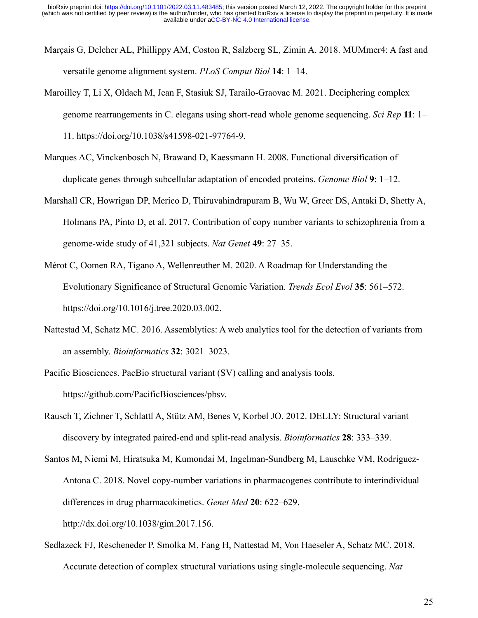- Marçais G, Delcher AL, Phillippy AM, Coston R, Salzberg SL, Zimin A. 2018. MUMmer4: A fast and versatile genome alignment system. *PLoS Comput Biol* **14**: 1–14.
- Maroilley T, Li X, Oldach M, Jean F, Stasiuk SJ, Tarailo-Graovac M. 2021. Deciphering complex genome rearrangements in C. elegans using short-read whole genome sequencing. *Sci Rep* **11**: 1– 11. https://doi.org/10.1038/s41598-021-97764-9.
- Marques AC, Vinckenbosch N, Brawand D, Kaessmann H. 2008. Functional diversification of duplicate genes through subcellular adaptation of encoded proteins. *Genome Biol* **9**: 1–12.
- Marshall CR, Howrigan DP, Merico D, Thiruvahindrapuram B, Wu W, Greer DS, Antaki D, Shetty A, Holmans PA, Pinto D, et al. 2017. Contribution of copy number variants to schizophrenia from a genome-wide study of 41,321 subjects. *Nat Genet* **49**: 27–35.
- Mérot C, Oomen RA, Tigano A, Wellenreuther M. 2020. A Roadmap for Understanding the Evolutionary Significance of Structural Genomic Variation. *Trends Ecol Evol* **35**: 561–572. https://doi.org/10.1016/j.tree.2020.03.002.
- Nattestad M, Schatz MC. 2016. Assemblytics: A web analytics tool for the detection of variants from an assembly. *Bioinformatics* **32**: 3021–3023.

Pacific Biosciences. PacBio structural variant (SV) calling and analysis tools. https://github.com/PacificBiosciences/pbsv.

- Rausch T, Zichner T, Schlattl A, Stütz AM, Benes V, Korbel JO. 2012. DELLY: Structural variant discovery by integrated paired-end and split-read analysis. *Bioinformatics* **28**: 333–339.
- Santos M, Niemi M, Hiratsuka M, Kumondai M, Ingelman-Sundberg M, Lauschke VM, Rodríguez-Antona C. 2018. Novel copy-number variations in pharmacogenes contribute to interindividual differences in drug pharmacokinetics. *Genet Med* **20**: 622–629. http://dx.doi.org/10.1038/gim.2017.156.
- Sedlazeck FJ, Rescheneder P, Smolka M, Fang H, Nattestad M, Von Haeseler A, Schatz MC. 2018. Accurate detection of complex structural variations using single-molecule sequencing. *Nat*